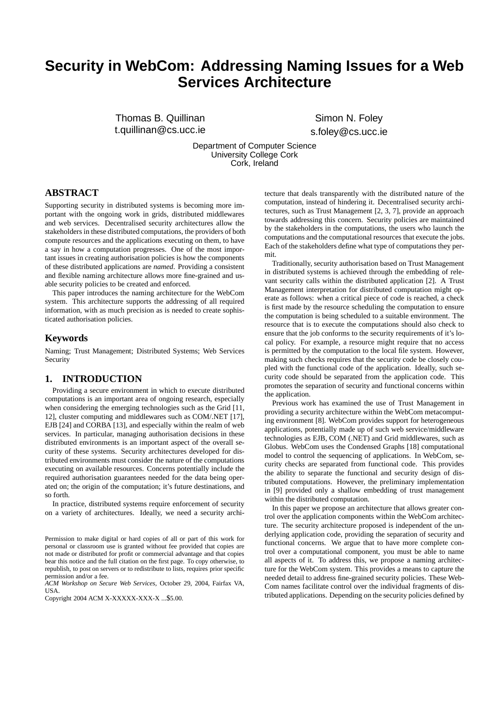# **Security in WebCom: Addressing Naming Issues for a Web Services Architecture**

Thomas B. Quillinan t.quillinan@cs.ucc.ie

Simon N. Foley s.foley@cs.ucc.ie

Department of Computer Science University College Cork Cork, Ireland

# **ABSTRACT**

Supporting security in distributed systems is becoming more important with the ongoing work in grids, distributed middlewares and web services. Decentralised security architectures allow the stakeholders in these distributed computations, the providers of both compute resources and the applications executing on them, to have a say in how a computation progresses. One of the most important issues in creating authorisation policies is how the components of these distributed applications are *named*. Providing a consistent and flexible naming architecture allows more fine-grained and usable security policies to be created and enforced.

This paper introduces the naming architecture for the WebCom system. This architecture supports the addressing of all required information, with as much precision as is needed to create sophisticated authorisation policies.

## **Keywords**

Naming; Trust Management; Distributed Systems; Web Services Security

# **1. INTRODUCTION**

Providing a secure environment in which to execute distributed computations is an important area of ongoing research, especially when considering the emerging technologies such as the Grid [11, 12], cluster computing and middlewares such as COM/.NET [17], EJB [24] and CORBA [13], and especially within the realm of web services. In particular, managing authorisation decisions in these distributed environments is an important aspect of the overall security of these systems. Security architectures developed for distributed environments must consider the nature of the computations executing on available resources. Concerns potentially include the required authorisation guarantees needed for the data being operated on; the origin of the computation; it's future destinations, and so forth.

In practice, distributed systems require enforcement of security on a variety of architectures. Ideally, we need a security archi-

*ACM Workshop on Secure Web Services,* October 29, 2004, Fairfax VA, USA.

Copyright 2004 ACM X-XXXXX-XXX-X ...\$5.00.

tecture that deals transparently with the distributed nature of the computation, instead of hindering it. Decentralised security architectures, such as Trust Management [2, 3, 7], provide an approach towards addressing this concern. Security policies are maintained by the stakeholders in the computations, the users who launch the computations and the computational resources that execute the jobs. Each of the stakeholders define what type of computations they permit.

Traditionally, security authorisation based on Trust Management in distributed systems is achieved through the embedding of relevant security calls within the distributed application [2]. A Trust Management interpretation for distributed computation might operate as follows: when a critical piece of code is reached, a check is first made by the resource scheduling the computation to ensure the computation is being scheduled to a suitable environment. The resource that is to execute the computations should also check to ensure that the job conforms to the security requirements of it's local policy. For example, a resource might require that no access is permitted by the computation to the local file system. However, making such checks requires that the security code be closely coupled with the functional code of the application. Ideally, such security code should be separated from the application code. This promotes the separation of security and functional concerns within the application.

Previous work has examined the use of Trust Management in providing a security architecture within the WebCom metacomputing environment [8]. WebCom provides support for heterogeneous applications, potentially made up of such web service/middleware technologies as EJB, COM (.NET) and Grid middlewares, such as Globus. WebCom uses the Condensed Graphs [18] computational model to control the sequencing of applications. In WebCom, security checks are separated from functional code. This provides the ability to separate the functional and security design of distributed computations. However, the preliminary implementation in [9] provided only a shallow embedding of trust management within the distributed computation.

In this paper we propose an architecture that allows greater control over the application components within the WebCom architecture. The security architecture proposed is independent of the underlying application code, providing the separation of security and functional concerns. We argue that to have more complete control over a computational component, you must be able to name all aspects of it. To address this, we propose a naming architecture for the WebCom system. This provides a means to capture the needed detail to address fine-grained security policies. These Web-Com names facilitate control over the individual fragments of distributed applications. Depending on the security policies defined by

Permission to make digital or hard copies of all or part of this work for personal or classroom use is granted without fee provided that copies are not made or distributed for profit or commercial advantage and that copies bear this notice and the full citation on the first page. To copy otherwise, to republish, to post on servers or to redistribute to lists, requires prior specific permission and/or a fee.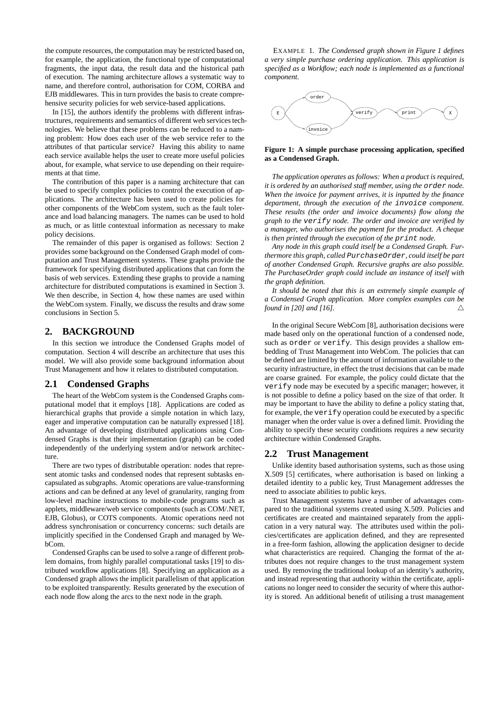the compute resources, the computation may be restricted based on, for example, the application, the functional type of computational fragments, the input data, the result data and the historical path of execution. The naming architecture allows a systematic way to name, and therefore control, authorisation for COM, CORBA and EJB middlewares. This in turn provides the basis to create comprehensive security policies for web service-based applications.

In [15], the authors identify the problems with different infrastructures, requirements and semantics of different web services technologies. We believe that these problems can be reduced to a naming problem: How does each user of the web service refer to the attributes of that particular service? Having this ability to name each service available helps the user to create more useful policies about, for example, what service to use depending on their requirements at that time.

The contribution of this paper is a naming architecture that can be used to specify complex policies to control the execution of applications. The architecture has been used to create policies for other components of the WebCom system, such as the fault tolerance and load balancing managers. The names can be used to hold as much, or as little contextual information as necessary to make policy decisions.

The remainder of this paper is organised as follows: Section 2 provides some background on the Condensed Graph model of computation and Trust Management systems. These graphs provide the framework for specifying distributed applications that can form the basis of web services. Extending these graphs to provide a naming architecture for distributed computations is examined in Section 3. We then describe, in Section 4, how these names are used within the WebCom system. Finally, we discuss the results and draw some conclusions in Section 5.

# **2. BACKGROUND**

In this section we introduce the Condensed Graphs model of computation. Section 4 will describe an architecture that uses this model. We will also provide some background information about Trust Management and how it relates to distributed computation.

## **2.1 Condensed Graphs**

The heart of the WebCom system is the Condensed Graphs computational model that it employs [18]. Applications are coded as hierarchical graphs that provide a simple notation in which lazy, eager and imperative computation can be naturally expressed [18]. An advantage of developing distributed applications using Condensed Graphs is that their implementation (graph) can be coded independently of the underlying system and/or network architecture.

There are two types of distributable operation: nodes that represent atomic tasks and condensed nodes that represent subtasks encapsulated as subgraphs. Atomic operations are value-transforming actions and can be defined at any level of granularity, ranging from low-level machine instructions to mobile-code programs such as applets, middleware/web service components (such as COM/.NET, EJB, Globus), or COTS components. Atomic operations need not address synchronisation or concurrency concerns: such details are implicitly specified in the Condensed Graph and managed by WebCom.

Condensed Graphs can be used to solve a range of different problem domains, from highly parallel computational tasks [19] to distributed workflow applications [8]. Specifying an application as a Condensed graph allows the implicit parallelism of that application to be exploited transparently. Results generated by the execution of each node flow along the arcs to the next node in the graph.

EXAMPLE 1. *The Condensed graph shown in Figure 1 defines a very simple purchase ordering application. This application is specified as a Workflow; each node is implemented as a functional component.*



#### **Figure 1: A simple purchase processing application, specified as a Condensed Graph.**

*The application operates as follows: When a product is required, it is ordered by an authorised staff member, using the* order *node. When the invoice for payment arrives, it is inputted by the finance department, through the execution of the* invoice *component. These results (the order and invoice documents) flow along the graph to the* verify *node. The order and invoice are verified by a manager, who authorises the payment for the product. A cheque is then printed through the execution of the* print *node.*

*Any node in this graph could itself be a Condensed Graph. Furthermore this graph, called* PurchaseOrder*, could itself be part of another Condensed Graph. Recursive graphs are also possible. The PurchaseOrder graph could include an instance of itself with the graph definition.*

*It should be noted that this is an extremely simple example of a Condensed Graph application. More complex examples can be found* in [20] and [16].  $\triangle$ 

In the original Secure WebCom [8], authorisation decisions were made based only on the operational function of a condensed node, such as order or verify. This design provides a shallow embedding of Trust Management into WebCom. The policies that can be defined are limited by the amount of information available to the security infrastructure, in effect the trust decisions that can be made are coarse grained. For example, the policy could dictate that the verify node may be executed by a specific manager; however, it is not possible to define a policy based on the size of that order. It may be important to have the ability to define a policy stating that, for example, the verify operation could be executed by a specific manager when the order value is over a defined limit. Providing the ability to specify these security conditions requires a new security architecture within Condensed Graphs.

## **2.2 Trust Management**

Unlike identity based authorisation systems, such as those using X.509 [5] certificates, where authorisation is based on linking a detailed identity to a public key, Trust Management addresses the need to associate abilities to public keys.

Trust Management systems have a number of advantages compared to the traditional systems created using X.509. Policies and certificates are created and maintained separately from the application in a very natural way. The attributes used within the policies/certificates are application defined, and they are represented in a free-form fashion, allowing the application designer to decide what characteristics are required. Changing the format of the attributes does not require changes to the trust management system used. By removing the traditional lookup of an identity's authority, and instead representing that authority within the certificate, applications no longer need to consider the security of where this authority is stored. An additional benefit of utilising a trust management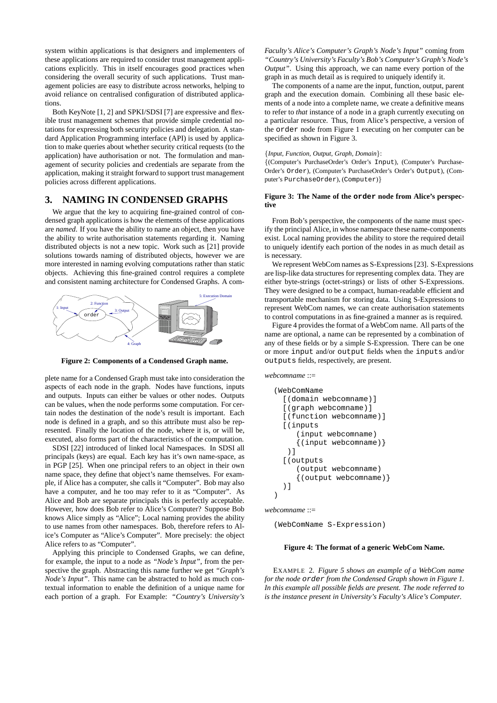system within applications is that designers and implementers of these applications are required to consider trust management applications explicitly. This in itself encourages good practices when considering the overall security of such applications. Trust management policies are easy to distribute across networks, helping to avoid reliance on centralised configuration of distributed applications.

Both KeyNote [1, 2] and SPKI/SDSI [7] are expressive and flexible trust management schemes that provide simple credential notations for expressing both security policies and delegation. A standard Application Programming interface (API) is used by application to make queries about whether security critical requests (to the application) have authorisation or not. The formulation and management of security policies and credentials are separate from the application, making it straight forward to support trust management policies across different applications.

## **3. NAMING IN CONDENSED GRAPHS**

We argue that the key to acquiring fine-grained control of condensed graph applications is how the elements of these applications are *named*. If you have the ability to name an object, then you have the ability to write authorisation statements regarding it. Naming distributed objects is not a new topic. Work such as [21] provide solutions towards naming of distributed objects, however we are more interested in naming evolving computations rather than static objects. Achieving this fine-grained control requires a complete and consistent naming architecture for Condensed Graphs. A com-



**Figure 2: Components of a Condensed Graph name.**

plete name for a Condensed Graph must take into consideration the aspects of each node in the graph. Nodes have functions, inputs and outputs. Inputs can either be values or other nodes. Outputs can be values, when the node performs some computation. For certain nodes the destination of the node's result is important. Each node is defined in a graph, and so this attribute must also be represented. Finally the location of the node, where it is, or will be, executed, also forms part of the characteristics of the computation.

SDSI [22] introduced of linked local Namespaces. In SDSI all principals (keys) are equal. Each key has it's own name-space, as in PGP [25]. When one principal refers to an object in their own name space, they define that object's name themselves. For example, if Alice has a computer, she calls it "Computer". Bob may also have a computer, and he too may refer to it as "Computer". As Alice and Bob are separate principals this is perfectly acceptable. However, how does Bob refer to Alice's Computer? Suppose Bob knows Alice simply as "Alice"; Local naming provides the ability to use names from other namespaces. Bob, therefore refers to Alice's Computer as "Alice's Computer". More precisely: the object Alice refers to as "Computer".

Applying this principle to Condensed Graphs, we can define, for example, the input to a node as *"Node's Input"*, from the perspective the graph. Abstracting this name further we get *"Graph's Node's Input"*. This name can be abstracted to hold as much contextual information to enable the definition of a unique name for each portion of a graph. For Example: *"Country's University's* *Faculty's Alice's Computer's Graph's Node's Input"* coming from *"Country's University's Faculty's Bob's Computer's Graph's Node's Output"*. Using this approach, we can name every portion of the graph in as much detail as is required to uniquely identify it.

The components of a name are the input, function, output, parent graph and the execution domain. Combining all these basic elements of a node into a complete name, we create a definitive means to refer to *that* instance of a node in a graph currently executing on a particular resource. Thus, from Alice's perspective, a version of the order node from Figure 1 executing on her computer can be specified as shown in Figure 3.

#### {*Input, Function, Output, Graph, Domain*}:

{(Computer's PurchaseOrder's Order's Input), (Computer's Purchase-Order's Order), (Computer's PurchaseOrder's Order's Output), (Computer's PurchaseOrder), (Computer)}

#### **Figure 3: The Name of the order node from Alice's perspective**

From Bob's perspective, the components of the name must specify the principal Alice, in whose namespace these name-components exist. Local naming provides the ability to store the required detail to uniquely identify each portion of the nodes in as much detail as is necessary.

We represent WebCom names as S-Expressions [23]. S-Expressions are lisp-like data structures for representing complex data. They are either byte-strings (octet-strings) or lists of other S-Expressions. They were designed to be a compact, human-readable efficient and transportable mechanism for storing data. Using S-Expressions to represent WebCom names, we can create authorisation statements to control computations in as fine-grained a manner as is required.

Figure 4 provides the format of a WebCom name. All parts of the name are optional, a name can be represented by a combination of any of these fields or by a simple S-Expression. There can be one or more input and/or output fields when the inputs and/or outputs fields, respectively, are present.

*webcomname* ::=

```
(WebComName
  [(domain webcomname)]
  [(graph webcomname)]
  [(function webcomname)]
  [(inputs
     (input webcomname)
     {(input webcomname)}
   )]
  [(outputs
     (output webcomname)
     {(output webcomname)}
  )]
)
```
*webcomname* ::=

(WebComName S-Expression)

#### **Figure 4: The format of a generic WebCom Name.**

EXAMPLE 2. *Figure 5 shows an example of a WebCom name for the node* order *from the Condensed Graph shown in Figure 1. In this example all possible fields are present. The node referred to is the instance present in University's Faculty's Alice's Computer.*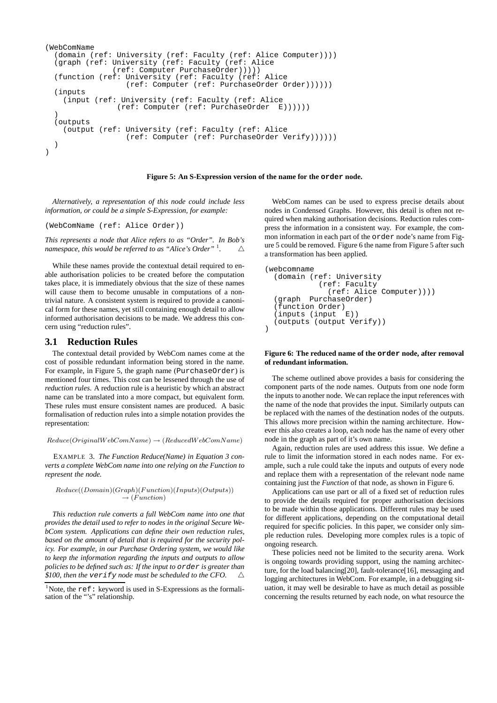```
(WebComName
  (domain (ref: University (ref: Faculty (ref: Alice Computer))))
  (graph (ref: University (ref: Faculty (ref: Alice
               (ref: Computer PurchaseOrder)))))
  (function (ref: University (ref: Faculty (ref: Alice
                  (ref: Computer (ref: PurchaseOrder Order))))))
  (inputs
    (input (ref: University (ref: Faculty (ref: Alice
                (ref: Computer (ref: PurchaseOrder E))))))
  )
  (outputs
    (output (ref: University (ref: Faculty (ref: Alice
                  (ref: Computer (ref: PurchaseOrder Verify))))))
  )
)
```
**Figure 5: An S-Expression version of the name for the order node.**

*Alternatively, a representation of this node could include less information, or could be a simple S-Expression, for example:*

(WebComName (ref: Alice Order))

*This represents a node that Alice refers to as "Order". In Bob's namespace, this would be referred to as "Alice's Order"* <sup>1</sup>  $\wedge$ 

While these names provide the contextual detail required to enable authorisation policies to be created before the computation takes place, it is immediately obvious that the size of these names will cause them to become unusable in computations of a nontrivial nature. A consistent system is required to provide a canonical form for these names, yet still containing enough detail to allow informed authorisation decisions to be made. We address this concern using "reduction rules".

# **3.1 Reduction Rules**

The contextual detail provided by WebCom names come at the cost of possible redundant information being stored in the name. For example, in Figure 5, the graph name (PurchaseOrder) is mentioned four times. This cost can be lessened through the use of *reduction rules*. A reduction rule is a heuristic by which an abstract name can be translated into a more compact, but equivalent form. These rules must ensure consistent names are produced. A basic formalisation of reduction rules into a simple notation provides the representation:

```
Reduce(OriginalWebComName) \rightarrow (ReducedWebComName)
```
EXAMPLE 3. *The Function Reduce(Name) in Equation 3 converts a complete WebCom name into one relying on the Function to represent the node.*

```
Reduce((Domain)(Graph)(Function)(Inputs)(Outputs))\rightarrow (Function)
```
*This reduction rule converts a full WebCom name into one that provides the detail used to refer to nodes in the original Secure WebCom system. Applications can define their own reduction rules, based on the amount of detail that is required for the security policy. For example, in our Purchase Ordering system, we would like to keep the information regarding the inputs and outputs to allow policies to be defined such as: If the input to* order *is greater than* \$100, then the verify node must be scheduled to the CFO.  $\triangle$ 

WebCom names can be used to express precise details about nodes in Condensed Graphs. However, this detail is often not required when making authorisation decisions. Reduction rules compress the information in a consistent way. For example, the common information in each part of the order node's name from Figure 5 could be removed. Figure 6 the name from Figure 5 after such a transformation has been applied.

```
(webcomname
  (domain (ref: University
             (ref: Faculty
               (ref: Alice Computer))))
  (graph PurchaseOrder)
  (function Order)
  (inputs (input E))
  (outputs (output Verify))
\lambda
```
#### **Figure 6: The reduced name of the order node, after removal of redundant information.**

The scheme outlined above provides a basis for considering the component parts of the node names. Outputs from one node form the inputs to another node. We can replace the input references with the name of the node that provides the input. Similarly outputs can be replaced with the names of the destination nodes of the outputs. This allows more precision within the naming architecture. However this also creates a loop, each node has the name of every other node in the graph as part of it's own name.

Again, reduction rules are used address this issue. We define a rule to limit the information stored in each nodes name. For example, such a rule could take the inputs and outputs of every node and replace them with a representation of the relevant node name containing just the *Function* of that node, as shown in Figure 6.

Applications can use part or all of a fixed set of reduction rules to provide the details required for proper authorisation decisions to be made within those applications. Different rules may be used for different applications, depending on the computational detail required for specific policies. In this paper, we consider only simple reduction rules. Developing more complex rules is a topic of ongoing research.

These policies need not be limited to the security arena. Work is ongoing towards providing support, using the naming architecture, for the load balancing[20], fault-tolerance[16], messaging and logging architectures in WebCom. For example, in a debugging situation, it may well be desirable to have as much detail as possible concerning the results returned by each node, on what resource the

<sup>&</sup>lt;sup>1</sup>Note, the ref: keyword is used in S-Expressions as the formalisation of the "'s" relationship.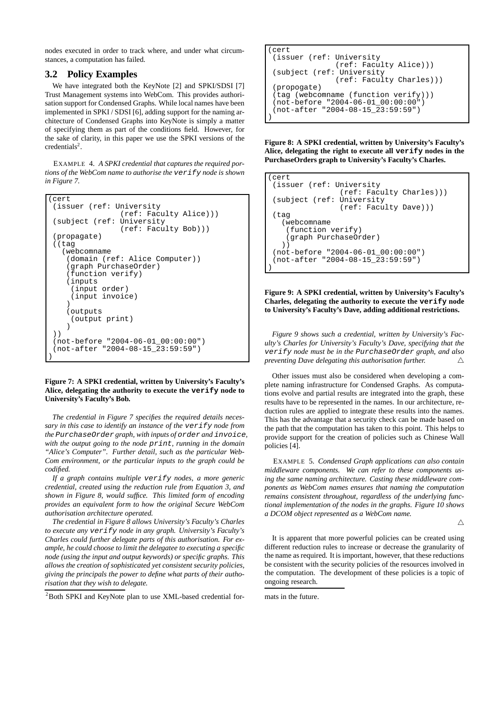nodes executed in order to track where, and under what circumstances, a computation has failed.

# **3.2 Policy Examples**

We have integrated both the KeyNote [2] and SPKI/SDSI [7] Trust Management systems into WebCom. This provides authorisation support for Condensed Graphs. While local names have been implemented in SPKI / SDSI [6], adding support for the naming architecture of Condensed Graphs into KeyNote is simply a matter of specifying them as part of the conditions field. However, for the sake of clarity, in this paper we use the SPKI versions of the  $c$ redentials<sup>2</sup>.

EXAMPLE 4. *A SPKI credential that captures the required portions of the WebCom name to authorise the* verify *node is shown in Figure 7.*

```
(cert
 (issuer (ref: University
                (ref: Faculty Alice)))
 (subject (ref: University
                (ref: Faculty Bob)))
(propagate)
 ((tag
   (webcomname
    (domain (ref: Alice Computer))
    (graph PurchaseOrder)
    (function verify)
    (inputs
     (input order)
     (input invoice)
    )
    (outputs
     (output print)
    )
 ))
 (not-before "2004-06-01_00:00:00")
 (not-after 2004-08-15-23:59:59"))
```
#### **Figure 7: A SPKI credential, written by University's Faculty's Alice, delegating the authority to execute the verify node to University's Faculty's Bob.**

*The credential in Figure 7 specifies the required details necessary in this case to identify an instance of the* verify *node from the* PurchaseOrder *graph, with inputs of* order *and* invoice*, with the output going to the node* print*, running in the domain "Alice's Computer". Further detail, such as the particular Web-Com environment, or the particular inputs to the graph could be codified.*

*If a graph contains multiple* verify *nodes, a more generic credential, created using the reduction rule from Equation 3, and shown in Figure 8, would suffice. This limited form of encoding provides an equivalent form to how the original Secure WebCom authorisation architecture operated.*

*The credential in Figure 8 allows University's Faculty's Charles to execute any* verify *node in any graph. University's Faculty's Charles could further delegate parts of this authorisation. For example, he could choose to limit the delegatee to executing a specific node (using the input and output keywords) or specific graphs. This allows the creation of sophisticated yet consistent security policies, giving the principals the power to define what parts of their authorisation that they wish to delegate.*

<sup>2</sup>Both SPKI and KeyNote plan to use XML-based credential for-

```
(cert
 (issuer (ref: University
               (ref: Faculty Alice)))
 (subject (ref: University
               (ref: Faculty Charles)))
 (propogate)
 (tag (webcomname (function verify)))
 (not-before "2004-06-01_00:00:00")
 (not-after "2004-08-15_23:59:59")
)
```
**Figure 8: A SPKI credential, written by University's Faculty's Alice, delegating the right to execute all verify nodes in the PurchaseOrders graph to University's Faculty's Charles.**

```
(cert
 (issuer (ref: University
                (ref: Faculty Charles)))
 (subject (ref: University
                (ref: Faculty Dave)))
 (tag
   (webcomname
    (function verify)
    (graph PurchaseOrder)
   ))
 (not-before "2004-06-01_00:00:00")
 (not-after 2004-08-15-23:59:59"))
```
**Figure 9: A SPKI credential, written by University's Faculty's Charles, delegating the authority to execute the verify node to University's Faculty's Dave, adding additional restrictions.**

*Figure 9 shows such a credential, written by University's Faculty's Charles for University's Faculty's Dave, specifying that the* verify *node must be in the* PurchaseOrder *graph, and also preventing Dave delegating this authorisation further.*  $\triangle$ 

Other issues must also be considered when developing a complete naming infrastructure for Condensed Graphs. As computations evolve and partial results are integrated into the graph, these results have to be represented in the names. In our architecture, reduction rules are applied to integrate these results into the names. This has the advantage that a security check can be made based on the path that the computation has taken to this point. This helps to provide support for the creation of policies such as Chinese Wall policies [4].

EXAMPLE 5. *Condensed Graph applications can also contain middleware components. We can refer to these components using the same naming architecture. Casting these middleware components as WebCom names ensures that naming the computation remains consistent throughout, regardless of the underlying functional implementation of the nodes in the graphs. Figure 10 shows a DCOM object represented as a WebCom name.*

 $\wedge$ 

It is apparent that more powerful policies can be created using different reduction rules to increase or decrease the granularity of the name as required. It is important, however, that these reductions be consistent with the security policies of the resources involved in the computation. The development of these policies is a topic of ongoing research.

mats in the future.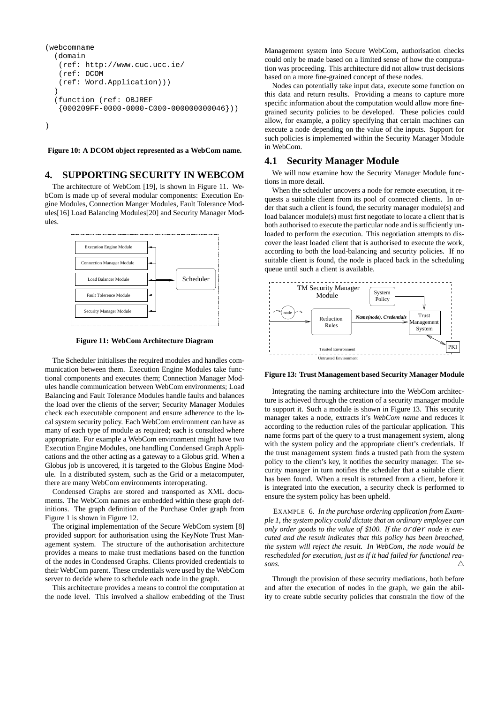```
(webcomname
  (domain
   (ref: http://www.cuc.ucc.ie/
   (ref: DCOM
   (ref: Word.Application)))
  )
  (function (ref: OBJREF
   {000209FF-0000-0000-C000-000000000046}))
)
```
**Figure 10: A DCOM object represented as a WebCom name.**

# **4. SUPPORTING SECURITY IN WEBCOM**

The architecture of WebCom [19], is shown in Figure 11. WebCom is made up of several modular components: Execution Engine Modules, Connection Manger Modules, Fault Tolerance Modules[16] Load Balancing Modules[20] and Security Manager Modules.



**Figure 11: WebCom Architecture Diagram**

The Scheduler initialises the required modules and handles communication between them. Execution Engine Modules take functional components and executes them; Connection Manager Modules handle communication between WebCom environments; Load Balancing and Fault Tolerance Modules handle faults and balances the load over the clients of the server; Security Manager Modules check each executable component and ensure adherence to the local system security policy. Each WebCom environment can have as many of each type of module as required; each is consulted where appropriate. For example a WebCom environment might have two Execution Engine Modules, one handling Condensed Graph Applications and the other acting as a gateway to a Globus grid. When a Globus job is uncovered, it is targeted to the Globus Engine Module. In a distributed system, such as the Grid or a metacomputer, there are many WebCom environments interoperating.

Condensed Graphs are stored and transported as XML documents. The WebCom names are embedded within these graph definitions. The graph definition of the Purchase Order graph from Figure 1 is shown in Figure 12.

The original implementation of the Secure WebCom system [8] provided support for authorisation using the KeyNote Trust Management system. The structure of the authorisation architecture provides a means to make trust mediations based on the function of the nodes in Condensed Graphs. Clients provided credentials to their WebCom parent. These credentials were used by the WebCom server to decide where to schedule each node in the graph.

This architecture provides a means to control the computation at the node level. This involved a shallow embedding of the Trust

Management system into Secure WebCom, authorisation checks could only be made based on a limited sense of how the computation was proceeding. This architecture did not allow trust decisions based on a more fine-grained concept of these nodes.

Nodes can potentially take input data, execute some function on this data and return results. Providing a means to capture more specific information about the computation would allow more finegrained security policies to be developed. These policies could allow, for example, a policy specifying that certain machines can execute a node depending on the value of the inputs. Support for such policies is implemented within the Security Manager Module in WebCom.

# **4.1 Security Manager Module**

We will now examine how the Security Manager Module functions in more detail.

When the scheduler uncovers a node for remote execution, it requests a suitable client from its pool of connected clients. In order that such a client is found, the security manager module(s) and load balancer module(s) must first negotiate to locate a client that is both authorised to execute the particular node and is sufficiently unloaded to perform the execution. This negotiation attempts to discover the least loaded client that is authorised to execute the work, according to both the load-balancing and security policies. If no suitable client is found, the node is placed back in the scheduling queue until such a client is available.



**Figure 13: Trust Management based Security Manager Module**

Integrating the naming architecture into the WebCom architecture is achieved through the creation of a security manager module to support it. Such a module is shown in Figure 13. This security manager takes a node, extracts it's *WebCom name* and reduces it according to the reduction rules of the particular application. This name forms part of the query to a trust management system, along with the system policy and the appropriate client's credentials. If the trust management system finds a trusted path from the system policy to the client's key, it notifies the security manager. The security manager in turn notifies the scheduler that a suitable client has been found. When a result is returned from a client, before it is integrated into the execution, a security check is performed to ensure the system policy has been upheld.

EXAMPLE 6. *In the purchase ordering application from Example 1, the system policy could dictate that an ordinary employee can only order goods to the value of* \$*100. If the* order *node is executed and the result indicates that this policy has been breached, the system will reject the result. In WebCom, the node would be rescheduled for execution, just as if it had failed for functional reasons.*  $\triangle$ 

Through the provision of these security mediations, both before and after the execution of nodes in the graph, we gain the ability to create subtle security policies that constrain the flow of the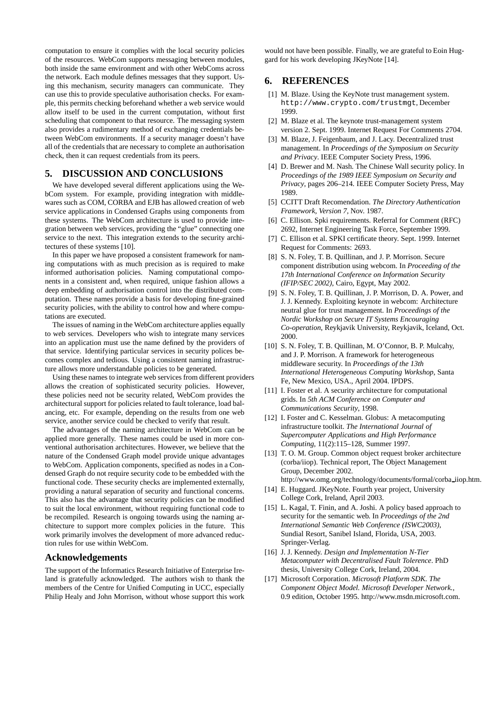computation to ensure it complies with the local security policies of the resources. WebCom supports messaging between modules, both inside the same environment and with other WebComs across the network. Each module defines messages that they support. Using this mechanism, security managers can communicate. They can use this to provide speculative authorisation checks. For example, this permits checking beforehand whether a web service would allow itself to be used in the current computation, without first scheduling that component to that resource. The messaging system also provides a rudimentary method of exchanging credentials between WebCom environments. If a security manager doesn't have all of the credentials that are necessary to complete an authorisation check, then it can request credentials from its peers.

# **5. DISCUSSION AND CONCLUSIONS**

We have developed several different applications using the WebCom system. For example, providing integration with middlewares such as COM, CORBA and EJB has allowed creation of web service applications in Condensed Graphs using components from these systems. The WebCom architecture is used to provide integration between web services, providing the "glue" connecting one service to the next. This integration extends to the security architectures of these systems [10].

In this paper we have proposed a consistent framework for naming computations with as much precision as is required to make informed authorisation policies. Naming computational components in a consistent and, when required, unique fashion allows a deep embedding of authorisation control into the distributed computation. These names provide a basis for developing fine-grained security policies, with the ability to control how and where computations are executed.

The issues of naming in the WebCom architecture applies equally to web services. Developers who wish to integrate many services into an application must use the name defined by the providers of that service. Identifying particular services in security polices becomes complex and tedious. Using a consistent naming infrastructure allows more understandable policies to be generated.

Using these names to integrate web services from different providers allows the creation of sophisticated security policies. However, these policies need not be security related, WebCom provides the architectural support for policies related to fault tolerance, load balancing, etc. For example, depending on the results from one web service, another service could be checked to verify that result.

The advantages of the naming architecture in WebCom can be applied more generally. These names could be used in more conventional authorisation architectures. However, we believe that the nature of the Condensed Graph model provide unique advantages to WebCom. Application components, specified as nodes in a Condensed Graph do not require security code to be embedded with the functional code. These security checks are implemented externally, providing a natural separation of security and functional concerns. This also has the advantage that security policies can be modified to suit the local environment, without requiring functional code to be recompiled. Research is ongoing towards using the naming architecture to support more complex policies in the future. This work primarily involves the development of more advanced reduction rules for use within WebCom.

## **Acknowledgements**

The support of the Informatics Research Initiative of Enterprise Ireland is gratefully acknowledged. The authors wish to thank the members of the Centre for Unified Computing in UCC, especially Philip Healy and John Morrison, without whose support this work

would not have been possible. Finally, we are grateful to Eoin Huggard for his work developing JKeyNote [14].

# **6. REFERENCES**

- [1] M. Blaze. Using the KeyNote trust management system. http://www.crypto.com/trustmgt, December 1999.
- [2] M. Blaze et al. The keynote trust-management system version 2. Sept. 1999. Internet Request For Comments 2704.
- [3] M. Blaze, J. Feigenbaum, and J. Lacy. Decentralized trust management. In *Proceedings of the Symposium on Security and Privacy*. IEEE Computer Society Press, 1996.
- [4] D. Brewer and M. Nash. The Chinese Wall security policy. In *Proceedings of the 1989 IEEE Symposium on Security and Privacy*, pages 206–214. IEEE Computer Society Press, May 1989.
- [5] CCITT Draft Recomendation. *The Directory Authentication Framework, Version 7*, Nov. 1987.
- [6] C. Ellison. Spki requirements. Referral for Comment (RFC) 2692, Internet Engineering Task Force, September 1999.
- [7] C. Ellison et al. SPKI certificate theory. Sept. 1999. Internet Request for Comments: 2693.
- [8] S. N. Foley, T. B. Quillinan, and J. P. Morrison. Secure component distribution using webcom. In *Proceeding of the 17th International Conference on Information Security (IFIP/SEC 2002)*, Cairo, Egypt, May 2002.
- [9] S. N. Foley, T. B. Quillinan, J. P. Morrison, D. A. Power, and J. J. Kennedy. Exploiting keynote in webcom: Architecture neutral glue for trust management. In *Proceedings of the Nordic Workshop on Secure IT Systems Encouraging Co-operation*, Reykjavik University, Reykjavik, Iceland, Oct. 2000.
- [10] S. N. Foley, T. B. Quillinan, M. O'Connor, B. P. Mulcahy, and J. P. Morrison. A framework for heterogeneous middleware security. In *Proceedings of the 13th International Heterogeneous Computing Workshop*, Santa Fe, New Mexico, USA., April 2004. IPDPS.
- [11] I. Foster et al. A security architecture for computational grids. In *5th ACM Conference on Computer and Communications Security*, 1998.
- [12] I. Foster and C. Kesselman. Globus: A metacomputing infrastructure toolkit. *The International Journal of Supercomputer Applications and High Performance Computing*, 11(2):115–128, Summer 1997.
- [13] T. O. M. Group. Common object request broker architecture (corba/iiop). Technical report, The Object Management Group, December 2002. http://www.omg.org/technology/documents/formal/corba iiop.htm.
- [14] E. Huggard. JKeyNote. Fourth year project, University College Cork, Ireland, April 2003.
- [15] L. Kagal, T. Finin, and A. Joshi. A policy based approach to security for the semantic web. In *Proceedings of the 2nd International Semantic Web Conference (ISWC2003)*, Sundial Resort, Sanibel Island, Florida, USA, 2003. Springer-Verlag.
- [16] J. J. Kennedy. *Design and Implementation N-Tier Metacomputer with Decentralised Fault Tolerence*. PhD thesis, University College Cork, Ireland, 2004.
- [17] Microsoft Corporation. *Microsoft Platform SDK. The Component Object Model. Microsoft Developer Network.*, 0.9 edition, October 1995. http://www.msdn.microsoft.com.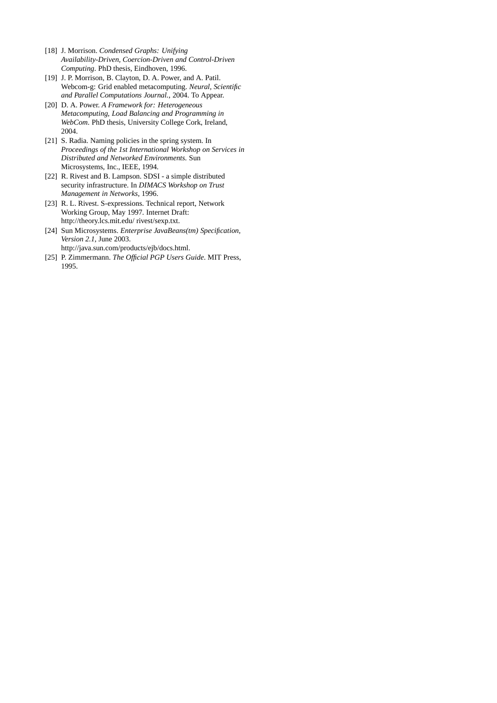- [18] J. Morrison. *Condensed Graphs: Unifying Availability-Driven, Coercion-Driven and Control-Driven Computing*. PhD thesis, Eindhoven, 1996.
- [19] J. P. Morrison, B. Clayton, D. A. Power, and A. Patil. Webcom-g: Grid enabled metacomputing. *Neural, Scientific and Parallel Computations Journal.*, 2004. To Appear.
- [20] D. A. Power. *A Framework for: Heterogeneous Metacomputing, Load Balancing and Programming in WebCom*. PhD thesis, University College Cork, Ireland, 2004.
- [21] S. Radia. Naming policies in the spring system. In *Proceedings of the 1st International Workshop on Services in Distributed and Networked Environments.* Sun Microsystems, Inc., IEEE, 1994.
- [22] R. Rivest and B. Lampson. SDSI a simple distributed security infrastructure. In *DIMACS Workshop on Trust Management in Networks*, 1996.
- [23] R. L. Rivest. S-expressions. Technical report, Network Working Group, May 1997. Internet Draft: http://theory.lcs.mit.edu/ rivest/sexp.txt.
- [24] Sun Microsystems. *Enterprise JavaBeans(tm) Specification, Version 2.1*, June 2003.
- http://java.sun.com/products/ejb/docs.html. [25] P. Zimmermann. *The Official PGP Users Guide*. MIT Press, 1995.